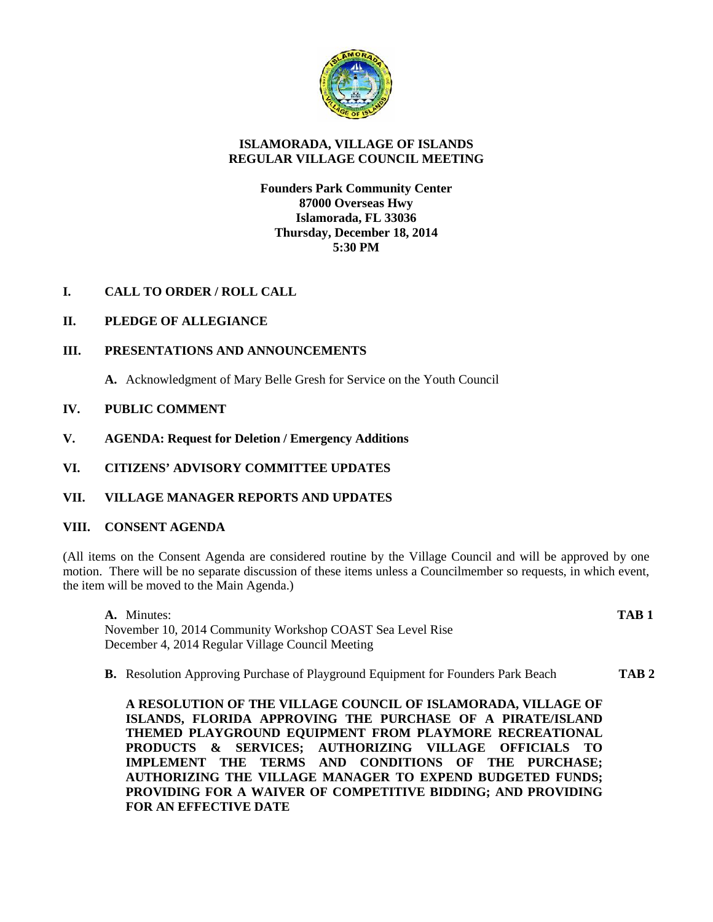

# **ISLAMORADA, VILLAGE OF ISLANDS REGULAR VILLAGE COUNCIL MEETING**

## **Founders Park Community Center 87000 Overseas Hwy Islamorada, FL 33036 Thursday, December 18, 2014 5:30 PM**

**I. CALL TO ORDER / ROLL CALL**

# **II. PLEDGE OF ALLEGIANCE**

## **III. PRESENTATIONS AND ANNOUNCEMENTS**

**A.** Acknowledgment of Mary Belle Gresh for Service on the Youth Council

## **IV. PUBLIC COMMENT**

**V. AGENDA: Request for Deletion / Emergency Additions**

# **VI. CITIZENS' ADVISORY COMMITTEE UPDATES**

## **VII. VILLAGE MANAGER REPORTS AND UPDATES**

## **VIII. CONSENT AGENDA**

(All items on the Consent Agenda are considered routine by the Village Council and will be approved by one motion. There will be no separate discussion of these items unless a Councilmember so requests, in which event, the item will be moved to the Main Agenda.)

**A.** Minutes: **TAB 1** November 10, 2014 Community Workshop COAST Sea Level Rise December 4, 2014 Regular Village Council Meeting

**B.** Resolution Approving Purchase of Playground Equipment for Founders Park Beach **TAB 2**

**A RESOLUTION OF THE VILLAGE COUNCIL OF ISLAMORADA, VILLAGE OF ISLANDS, FLORIDA APPROVING THE PURCHASE OF A PIRATE/ISLAND THEMED PLAYGROUND EQUIPMENT FROM PLAYMORE RECREATIONAL PRODUCTS & SERVICES; AUTHORIZING VILLAGE OFFICIALS TO IMPLEMENT THE TERMS AND CONDITIONS OF THE PURCHASE; AUTHORIZING THE VILLAGE MANAGER TO EXPEND BUDGETED FUNDS; PROVIDING FOR A WAIVER OF COMPETITIVE BIDDING; AND PROVIDING FOR AN EFFECTIVE DATE**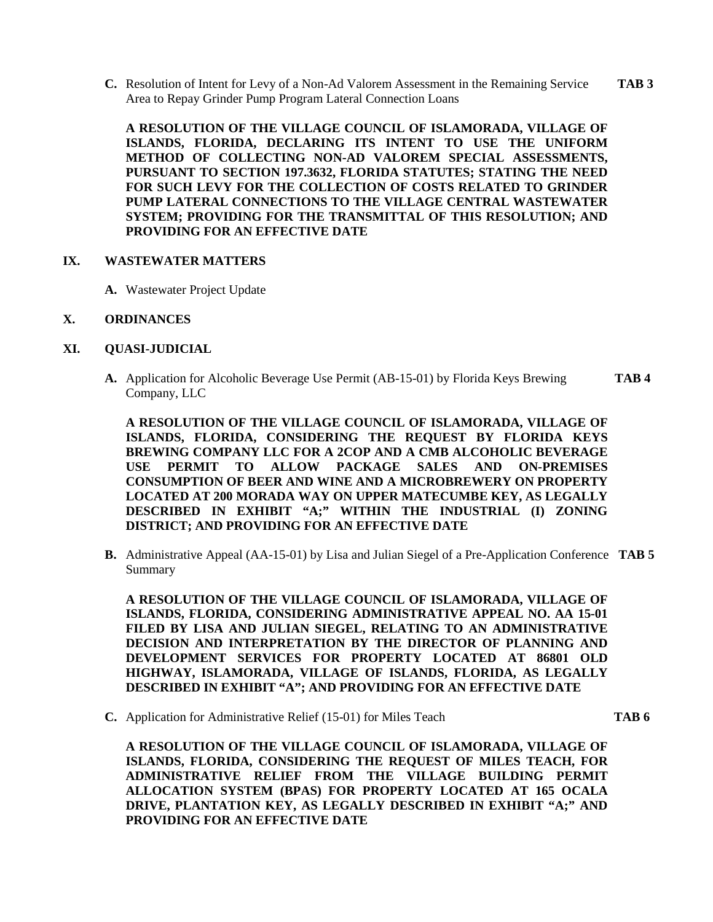**C.** Resolution of Intent for Levy of a Non-Ad Valorem Assessment in the Remaining Service **TAB 3** Area to Repay Grinder Pump Program Lateral Connection Loans

**A RESOLUTION OF THE VILLAGE COUNCIL OF ISLAMORADA, VILLAGE OF ISLANDS, FLORIDA, DECLARING ITS INTENT TO USE THE UNIFORM METHOD OF COLLECTING NON-AD VALOREM SPECIAL ASSESSMENTS, PURSUANT TO SECTION 197.3632, FLORIDA STATUTES; STATING THE NEED FOR SUCH LEVY FOR THE COLLECTION OF COSTS RELATED TO GRINDER PUMP LATERAL CONNECTIONS TO THE VILLAGE CENTRAL WASTEWATER SYSTEM; PROVIDING FOR THE TRANSMITTAL OF THIS RESOLUTION; AND PROVIDING FOR AN EFFECTIVE DATE**

#### **IX. WASTEWATER MATTERS**

**A.** Wastewater Project Update

## **X. ORDINANCES**

## **XI. QUASI-JUDICIAL**

**A.** Application for Alcoholic Beverage Use Permit (AB-15-01) by Florida Keys Brewing **TAB 4** Company, LLC

**A RESOLUTION OF THE VILLAGE COUNCIL OF ISLAMORADA, VILLAGE OF ISLANDS, FLORIDA, CONSIDERING THE REQUEST BY FLORIDA KEYS BREWING COMPANY LLC FOR A 2COP AND A CMB ALCOHOLIC BEVERAGE USE PERMIT TO ALLOW PACKAGE SALES AND ON-PREMISES CONSUMPTION OF BEER AND WINE AND A MICROBREWERY ON PROPERTY LOCATED AT 200 MORADA WAY ON UPPER MATECUMBE KEY, AS LEGALLY DESCRIBED IN EXHIBIT "A;" WITHIN THE INDUSTRIAL (I) ZONING DISTRICT; AND PROVIDING FOR AN EFFECTIVE DATE**

**B.** Administrative Appeal (AA-15-01) by Lisa and Julian Siegel of a Pre-Application Conference **TAB 5** Summary

**A RESOLUTION OF THE VILLAGE COUNCIL OF ISLAMORADA, VILLAGE OF ISLANDS, FLORIDA, CONSIDERING ADMINISTRATIVE APPEAL NO. AA 15-01 FILED BY LISA AND JULIAN SIEGEL, RELATING TO AN ADMINISTRATIVE DECISION AND INTERPRETATION BY THE DIRECTOR OF PLANNING AND DEVELOPMENT SERVICES FOR PROPERTY LOCATED AT 86801 OLD HIGHWAY, ISLAMORADA, VILLAGE OF ISLANDS, FLORIDA, AS LEGALLY DESCRIBED IN EXHIBIT "A"; AND PROVIDING FOR AN EFFECTIVE DATE**

**C.** Application for Administrative Relief (15-01) for Miles Teach **TAB 6**

**A RESOLUTION OF THE VILLAGE COUNCIL OF ISLAMORADA, VILLAGE OF ISLANDS, FLORIDA, CONSIDERING THE REQUEST OF MILES TEACH, FOR ADMINISTRATIVE RELIEF FROM THE VILLAGE BUILDING PERMIT ALLOCATION SYSTEM (BPAS) FOR PROPERTY LOCATED AT 165 OCALA DRIVE, PLANTATION KEY, AS LEGALLY DESCRIBED IN EXHIBIT "A;" AND PROVIDING FOR AN EFFECTIVE DATE**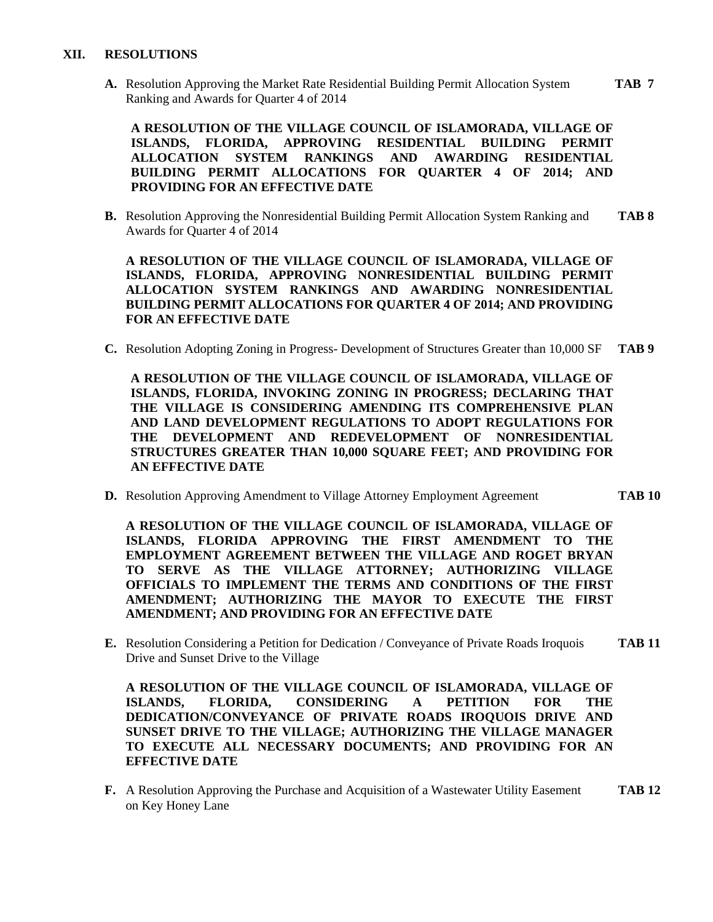### **XII. RESOLUTIONS**

**A.** Resolution Approving the Market Rate Residential Building Permit Allocation System **TAB 7** Ranking and Awards for Quarter 4 of 2014

**A RESOLUTION OF THE VILLAGE COUNCIL OF ISLAMORADA, VILLAGE OF ISLANDS, FLORIDA, APPROVING RESIDENTIAL BUILDING PERMIT ALLOCATION SYSTEM RANKINGS AND AWARDING RESIDENTIAL BUILDING PERMIT ALLOCATIONS FOR QUARTER 4 OF 2014; AND PROVIDING FOR AN EFFECTIVE DATE**

**B.** Resolution Approving the Nonresidential Building Permit Allocation System Ranking and **TAB 8** Awards for Quarter 4 of 2014

**A RESOLUTION OF THE VILLAGE COUNCIL OF ISLAMORADA, VILLAGE OF ISLANDS, FLORIDA, APPROVING NONRESIDENTIAL BUILDING PERMIT ALLOCATION SYSTEM RANKINGS AND AWARDING NONRESIDENTIAL BUILDING PERMIT ALLOCATIONS FOR QUARTER 4 OF 2014; AND PROVIDING FOR AN EFFECTIVE DATE**

**C.** Resolution Adopting Zoning in Progress- Development of Structures Greater than 10,000 SF **TAB 9**

**A RESOLUTION OF THE VILLAGE COUNCIL OF ISLAMORADA, VILLAGE OF ISLANDS, FLORIDA, INVOKING ZONING IN PROGRESS; DECLARING THAT THE VILLAGE IS CONSIDERING AMENDING ITS COMPREHENSIVE PLAN AND LAND DEVELOPMENT REGULATIONS TO ADOPT REGULATIONS FOR THE DEVELOPMENT AND REDEVELOPMENT OF NONRESIDENTIAL STRUCTURES GREATER THAN 10,000 SQUARE FEET; AND PROVIDING FOR AN EFFECTIVE DATE**

**D.** Resolution Approving Amendment to Village Attorney Employment Agreement **TAB 10** 

**A RESOLUTION OF THE VILLAGE COUNCIL OF ISLAMORADA, VILLAGE OF ISLANDS, FLORIDA APPROVING THE FIRST AMENDMENT TO THE EMPLOYMENT AGREEMENT BETWEEN THE VILLAGE AND ROGET BRYAN TO SERVE AS THE VILLAGE ATTORNEY; AUTHORIZING VILLAGE OFFICIALS TO IMPLEMENT THE TERMS AND CONDITIONS OF THE FIRST AMENDMENT; AUTHORIZING THE MAYOR TO EXECUTE THE FIRST AMENDMENT; AND PROVIDING FOR AN EFFECTIVE DATE**

**E.** Resolution Considering a Petition for Dedication / Conveyance of Private Roads Iroquois **TAB 11** Drive and Sunset Drive to the Village

**A RESOLUTION OF THE VILLAGE COUNCIL OF ISLAMORADA, VILLAGE OF ISLANDS, FLORIDA, CONSIDERING A PETITION FOR THE DEDICATION/CONVEYANCE OF PRIVATE ROADS IROQUOIS DRIVE AND SUNSET DRIVE TO THE VILLAGE; AUTHORIZING THE VILLAGE MANAGER TO EXECUTE ALL NECESSARY DOCUMENTS; AND PROVIDING FOR AN EFFECTIVE DATE**

**F.** A Resolution Approving the Purchase and Acquisition of a Wastewater Utility Easement **TAB 12** on Key Honey Lane